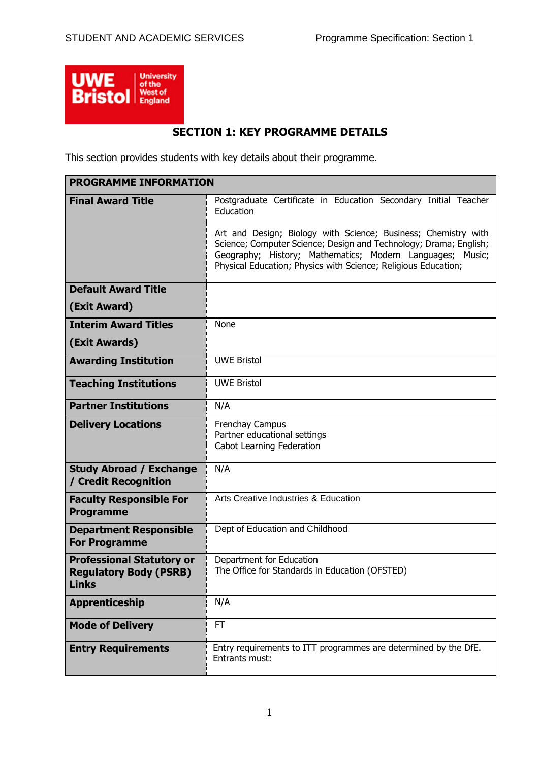

# **SECTION 1: KEY PROGRAMME DETAILS**

This section provides students with key details about their programme.

| <b>PROGRAMME INFORMATION</b>                                                      |                                                                                                                                                                                                                                                                                                                                                    |
|-----------------------------------------------------------------------------------|----------------------------------------------------------------------------------------------------------------------------------------------------------------------------------------------------------------------------------------------------------------------------------------------------------------------------------------------------|
| <b>Final Award Title</b>                                                          | Postgraduate Certificate in Education Secondary Initial Teacher<br>Education<br>Art and Design; Biology with Science; Business; Chemistry with<br>Science; Computer Science; Design and Technology; Drama; English;<br>Geography; History; Mathematics; Modern Languages; Music;<br>Physical Education; Physics with Science; Religious Education; |
| <b>Default Award Title</b>                                                        |                                                                                                                                                                                                                                                                                                                                                    |
| (Exit Award)                                                                      |                                                                                                                                                                                                                                                                                                                                                    |
| <b>Interim Award Titles</b>                                                       | None                                                                                                                                                                                                                                                                                                                                               |
| (Exit Awards)                                                                     |                                                                                                                                                                                                                                                                                                                                                    |
| <b>Awarding Institution</b>                                                       | <b>UWE Bristol</b>                                                                                                                                                                                                                                                                                                                                 |
| <b>Teaching Institutions</b>                                                      | <b>UWE Bristol</b>                                                                                                                                                                                                                                                                                                                                 |
| <b>Partner Institutions</b>                                                       | N/A                                                                                                                                                                                                                                                                                                                                                |
| <b>Delivery Locations</b>                                                         | <b>Frenchay Campus</b><br>Partner educational settings<br>Cabot Learning Federation                                                                                                                                                                                                                                                                |
| <b>Study Abroad / Exchange</b><br>/ Credit Recognition                            | N/A                                                                                                                                                                                                                                                                                                                                                |
| <b>Faculty Responsible For</b><br><b>Programme</b>                                | Arts Creative Industries & Education                                                                                                                                                                                                                                                                                                               |
| <b>Department Responsible</b><br><b>For Programme</b>                             | Dept of Education and Childhood                                                                                                                                                                                                                                                                                                                    |
| <b>Professional Statutory or</b><br><b>Regulatory Body (PSRB)</b><br><b>Links</b> | Department for Education<br>The Office for Standards in Education (OFSTED)                                                                                                                                                                                                                                                                         |
| <b>Apprenticeship</b>                                                             | N/A                                                                                                                                                                                                                                                                                                                                                |
| <b>Mode of Delivery</b>                                                           | <b>FT</b>                                                                                                                                                                                                                                                                                                                                          |
| <b>Entry Requirements</b>                                                         | Entry requirements to ITT programmes are determined by the DfE.<br>Entrants must:                                                                                                                                                                                                                                                                  |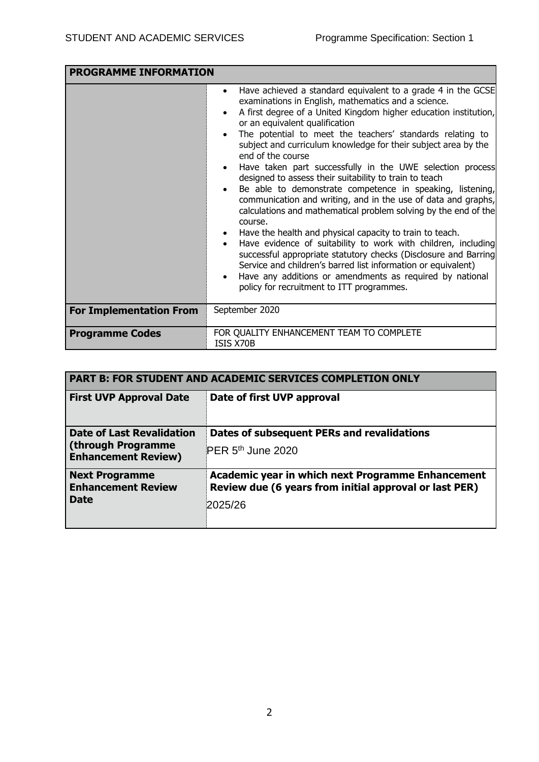| <b>PROGRAMME INFORMATION</b>   |                                                                                                                                                                                                                                                                                                                                                                                                                                                                                                                                                                                                                                                                                                                                                                                                                                                                                                                                                                                                                                                                                                                                                |
|--------------------------------|------------------------------------------------------------------------------------------------------------------------------------------------------------------------------------------------------------------------------------------------------------------------------------------------------------------------------------------------------------------------------------------------------------------------------------------------------------------------------------------------------------------------------------------------------------------------------------------------------------------------------------------------------------------------------------------------------------------------------------------------------------------------------------------------------------------------------------------------------------------------------------------------------------------------------------------------------------------------------------------------------------------------------------------------------------------------------------------------------------------------------------------------|
|                                | Have achieved a standard equivalent to a grade 4 in the GCSE<br>$\bullet$<br>examinations in English, mathematics and a science.<br>A first degree of a United Kingdom higher education institution,<br>$\bullet$<br>or an equivalent qualification<br>The potential to meet the teachers' standards relating to<br>$\bullet$<br>subject and curriculum knowledge for their subject area by the<br>end of the course<br>Have taken part successfully in the UWE selection process<br>designed to assess their suitability to train to teach<br>Be able to demonstrate competence in speaking, listening,<br>$\bullet$<br>communication and writing, and in the use of data and graphs,<br>calculations and mathematical problem solving by the end of the<br>course.<br>Have the health and physical capacity to train to teach.<br>Have evidence of suitability to work with children, including<br>successful appropriate statutory checks (Disclosure and Barring<br>Service and children's barred list information or equivalent)<br>Have any additions or amendments as required by national<br>policy for recruitment to ITT programmes. |
| <b>For Implementation From</b> | September 2020                                                                                                                                                                                                                                                                                                                                                                                                                                                                                                                                                                                                                                                                                                                                                                                                                                                                                                                                                                                                                                                                                                                                 |
| <b>Programme Codes</b>         | FOR QUALITY ENHANCEMENT TEAM TO COMPLETE<br>ISIS X70B                                                                                                                                                                                                                                                                                                                                                                                                                                                                                                                                                                                                                                                                                                                                                                                                                                                                                                                                                                                                                                                                                          |

| <b>PART B: FOR STUDENT AND ACADEMIC SERVICES COMPLETION ONLY</b>                     |                                                                                                                        |  |  |  |  |
|--------------------------------------------------------------------------------------|------------------------------------------------------------------------------------------------------------------------|--|--|--|--|
| <b>First UVP Approval Date</b>                                                       | Date of first UVP approval                                                                                             |  |  |  |  |
| <b>Date of Last Revalidation</b><br>(through Programme<br><b>Enhancement Review)</b> | Dates of subsequent PERs and revalidations<br>PER 5 <sup>th</sup> June 2020                                            |  |  |  |  |
| <b>Next Programme</b><br><b>Enhancement Review</b><br><b>Date</b>                    | Academic year in which next Programme Enhancement<br>Review due (6 years from initial approval or last PER)<br>2025/26 |  |  |  |  |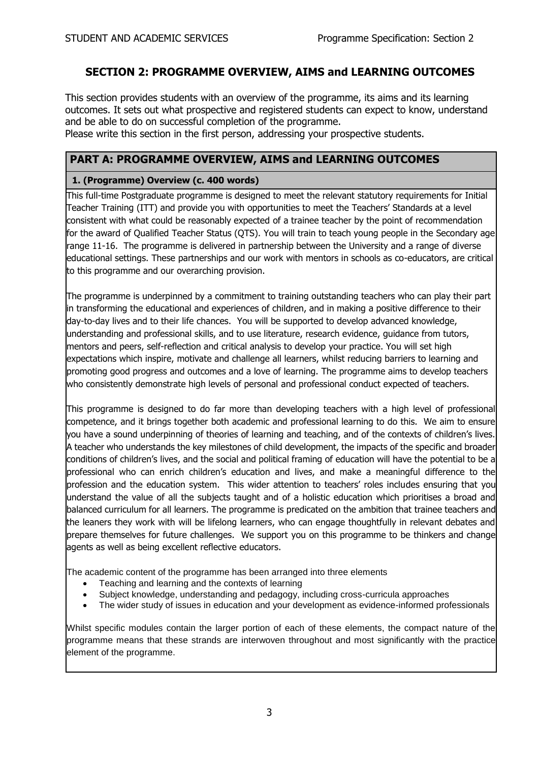## **SECTION 2: PROGRAMME OVERVIEW, AIMS and LEARNING OUTCOMES**

This section provides students with an overview of the programme, its aims and its learning outcomes. It sets out what prospective and registered students can expect to know, understand and be able to do on successful completion of the programme.

Please write this section in the first person, addressing your prospective students.

### **PART A: PROGRAMME OVERVIEW, AIMS and LEARNING OUTCOMES**

#### **1. (Programme) Overview (c. 400 words)**

This full-time Postgraduate programme is designed to meet the relevant statutory requirements for Initial Teacher Training (ITT) and provide you with opportunities to meet the Teachers' Standards at a level consistent with what could be reasonably expected of a trainee teacher by the point of recommendation for the award of Qualified Teacher Status (QTS). You will train to teach young people in the Secondary age range 11-16. The programme is delivered in partnership between the University and a range of diverse educational settings. These partnerships and our work with mentors in schools as co-educators, are critical to this programme and our overarching provision.

The programme is underpinned by a commitment to training outstanding teachers who can play their part in transforming the educational and experiences of children, and in making a positive difference to their day-to-day lives and to their life chances. You will be supported to develop advanced knowledge, understanding and professional skills, and to use literature, research evidence, guidance from tutors, mentors and peers, self-reflection and critical analysis to develop your practice. You will set high expectations which inspire, motivate and challenge all learners, whilst reducing barriers to learning and promoting good progress and outcomes and a love of learning. The programme aims to develop teachers who consistently demonstrate high levels of personal and professional conduct expected of teachers.

This programme is designed to do far more than developing teachers with a high level of professional competence, and it brings together both academic and professional learning to do this. We aim to ensure you have a sound underpinning of theories of learning and teaching, and of the contexts of children's lives. A teacher who understands the key milestones of child development, the impacts of the specific and broader conditions of children's lives, and the social and political framing of education will have the potential to be a professional who can enrich children's education and lives, and make a meaningful difference to the profession and the education system. This wider attention to teachers' roles includes ensuring that you understand the value of all the subjects taught and of a holistic education which prioritises a broad and balanced curriculum for all learners. The programme is predicated on the ambition that trainee teachers and the leaners they work with will be lifelong learners, who can engage thoughtfully in relevant debates and prepare themselves for future challenges. We support you on this programme to be thinkers and change agents as well as being excellent reflective educators.

The academic content of the programme has been arranged into three elements

- Teaching and learning and the contexts of learning
- Subject knowledge, understanding and pedagogy, including cross-curricula approaches
- The wider study of issues in education and your development as evidence-informed professionals

Whilst specific modules contain the larger portion of each of these elements, the compact nature of the programme means that these strands are interwoven throughout and most significantly with the practice element of the programme.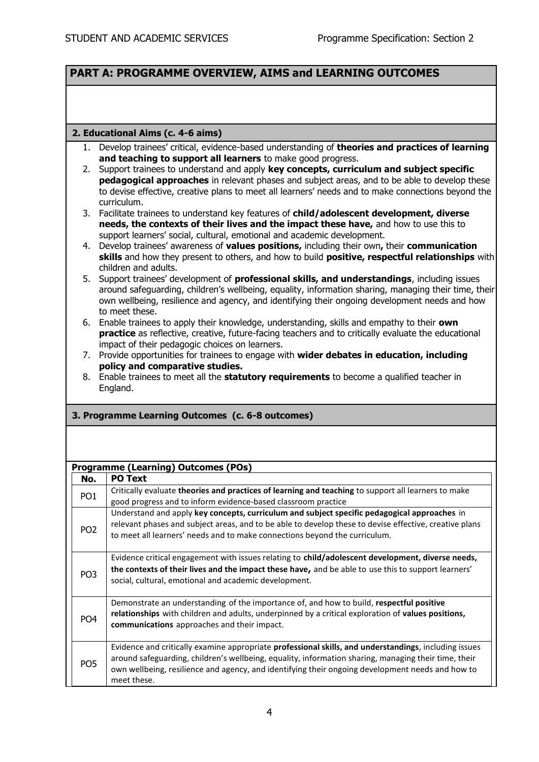### **PART A: PROGRAMME OVERVIEW, AIMS and LEARNING OUTCOMES**

#### **2. Educational Aims (c. 4-6 aims)**

- 1. Develop trainees' critical, evidence-based understanding of **theories and practices of learning and teaching to support all learners** to make good progress.
- 2. Support trainees to understand and apply **key concepts, curriculum and subject specific pedagogical approaches** in relevant phases and subject areas, and to be able to develop these to devise effective, creative plans to meet all learners' needs and to make connections beyond the curriculum.
- 3. Facilitate trainees to understand key features of **child/adolescent development, diverse needs, the contexts of their lives and the impact these have,** and how to use this to support learners' social, cultural, emotional and academic development.
- 4. Develop trainees' awareness of **values positions,** including their own**,** their **communication skills** and how they present to others, and how to build **positive, respectful relationships** with children and adults.
- 5. Support trainees' development of **professional skills, and understandings**, including issues around safeguarding, children's wellbeing, equality, information sharing, managing their time, their own wellbeing, resilience and agency, and identifying their ongoing development needs and how to meet these.
- 6. Enable trainees to apply their knowledge, understanding, skills and empathy to their **own practice** as reflective, creative, future-facing teachers and to critically evaluate the educational impact of their pedagogic choices on learners.
- 7. Provide opportunities for trainees to engage with **wider debates in education, including policy and comparative studies.**
- 8. Enable trainees to meet all the **statutory requirements** to become a qualified teacher in England.

#### **3. Programme Learning Outcomes (c. 6-8 outcomes)**

|                 | <b>Programme (Learning) Outcomes (POs)</b>                                                                                                                                                                                                                                                                                       |
|-----------------|----------------------------------------------------------------------------------------------------------------------------------------------------------------------------------------------------------------------------------------------------------------------------------------------------------------------------------|
| No.             | <b>PO Text</b>                                                                                                                                                                                                                                                                                                                   |
| PO <sub>1</sub> | Critically evaluate theories and practices of learning and teaching to support all learners to make<br>good progress and to inform evidence-based classroom practice                                                                                                                                                             |
| PO <sub>2</sub> | Understand and apply key concepts, curriculum and subject specific pedagogical approaches in<br>relevant phases and subject areas, and to be able to develop these to devise effective, creative plans<br>to meet all learners' needs and to make connections beyond the curriculum.                                             |
| PO <sub>3</sub> | Evidence critical engagement with issues relating to child/adolescent development, diverse needs,<br>the contexts of their lives and the impact these have, and be able to use this to support learners'<br>social, cultural, emotional and academic development.                                                                |
| PO <sub>4</sub> | Demonstrate an understanding of the importance of, and how to build, respectful positive<br>relationships with children and adults, underpinned by a critical exploration of values positions,<br>communications approaches and their impact.                                                                                    |
| PO <sub>5</sub> | Evidence and critically examine appropriate professional skills, and understandings, including issues<br>around safeguarding, children's wellbeing, equality, information sharing, managing their time, their<br>own wellbeing, resilience and agency, and identifying their ongoing development needs and how to<br>meet these. |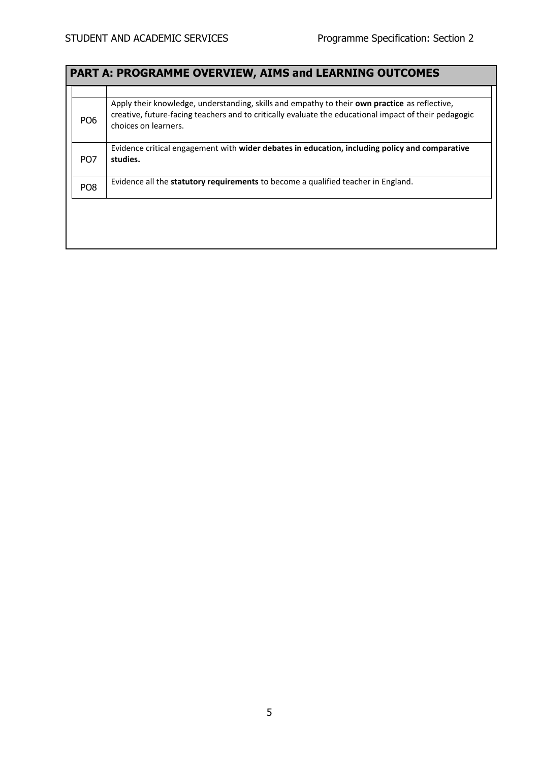|                 | <b>PART A: PROGRAMME OVERVIEW, AIMS and LEARNING OUTCOMES</b>                                                                                                                                                                  |
|-----------------|--------------------------------------------------------------------------------------------------------------------------------------------------------------------------------------------------------------------------------|
|                 |                                                                                                                                                                                                                                |
| PO <sub>6</sub> | Apply their knowledge, understanding, skills and empathy to their own practice as reflective,<br>creative, future-facing teachers and to critically evaluate the educational impact of their pedagogic<br>choices on learners. |
| PO <sub>7</sub> | Evidence critical engagement with wider debates in education, including policy and comparative<br>studies.                                                                                                                     |
| PO <sub>8</sub> | Evidence all the statutory requirements to become a qualified teacher in England.                                                                                                                                              |
|                 |                                                                                                                                                                                                                                |
|                 |                                                                                                                                                                                                                                |
|                 |                                                                                                                                                                                                                                |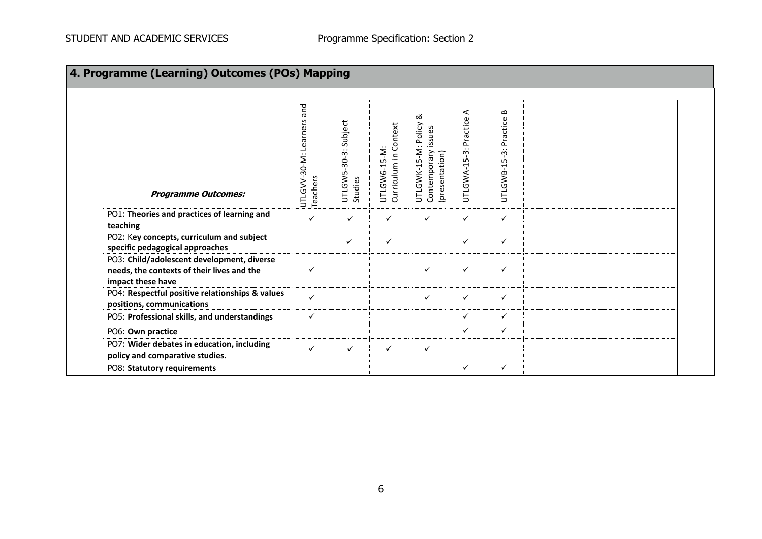| 4. Programme (Learning) Outcomes (POs) Mapping                                                                |                                             |                                    |                                       |                                                                   |                            |                                   |  |  |
|---------------------------------------------------------------------------------------------------------------|---------------------------------------------|------------------------------------|---------------------------------------|-------------------------------------------------------------------|----------------------------|-----------------------------------|--|--|
| <b>Programme Outcomes:</b>                                                                                    | and<br>Learners<br>UTLGVV-30-M:<br>Teachers | Subject<br>UTLGW5-30-3:<br>Studies | Curriculum in Context<br>UTLGW6-15-M: | ∞<br>UTLGWK-15-M: Policy<br>Contemporary issues<br>(presentation) | ⋖<br>UTLGWA-15-3: Practice | $\bf{m}$<br>UTLGWB-15-3: Practice |  |  |
| PO1: Theories and practices of learning and<br>teaching                                                       | $\checkmark$                                | $\checkmark$                       | $\checkmark$                          | ✓                                                                 | $\checkmark$               | $\checkmark$                      |  |  |
| PO2: Key concepts, curriculum and subject<br>specific pedagogical approaches                                  |                                             | $\checkmark$                       | $\checkmark$                          |                                                                   | $\checkmark$               | $\checkmark$                      |  |  |
| PO3: Child/adolescent development, diverse<br>needs, the contexts of their lives and the<br>impact these have | ✓                                           |                                    |                                       | $\checkmark$                                                      | ✓                          | $\checkmark$                      |  |  |
| PO4: Respectful positive relationships & values<br>positions, communications                                  | $\checkmark$                                |                                    |                                       | $\checkmark$                                                      | $\checkmark$               | $\checkmark$                      |  |  |
| PO5: Professional skills, and understandings                                                                  | $\checkmark$                                |                                    |                                       |                                                                   | $\checkmark$               | $\checkmark$                      |  |  |
| PO6: Own practice                                                                                             |                                             |                                    |                                       |                                                                   | ✓                          | $\checkmark$                      |  |  |
| PO7: Wider debates in education, including<br>policy and comparative studies.                                 | $\checkmark$                                | ✓                                  | $\checkmark$                          | $\checkmark$                                                      |                            |                                   |  |  |
| PO8: Statutory requirements                                                                                   |                                             |                                    |                                       |                                                                   | ✓                          | $\checkmark$                      |  |  |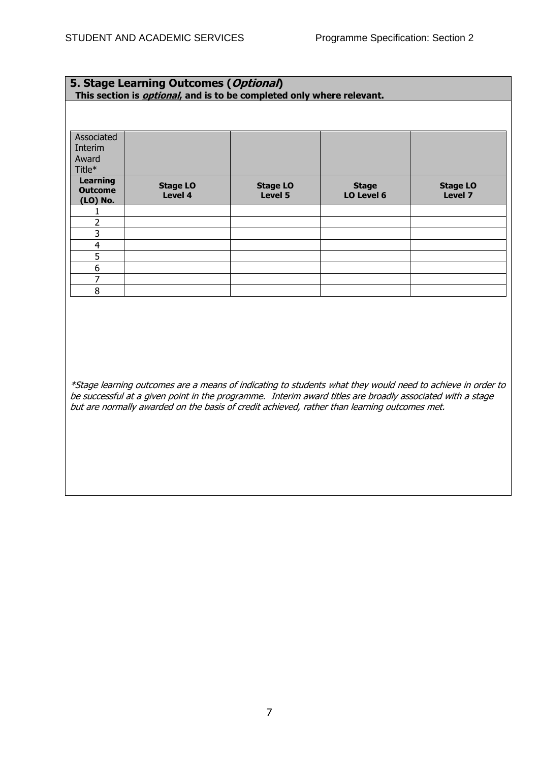#### **5. Stage Learning Outcomes (Optional) This section is optional, and is to be completed only where relevant.**

| Associated                                    |                            |                            |                            |                            |
|-----------------------------------------------|----------------------------|----------------------------|----------------------------|----------------------------|
| Interim                                       |                            |                            |                            |                            |
| Award                                         |                            |                            |                            |                            |
| Title*                                        |                            |                            |                            |                            |
| <b>Learning</b><br><b>Outcome</b><br>(LO) No. | <b>Stage LO</b><br>Level 4 | <b>Stage LO</b><br>Level 5 | <b>Stage</b><br>LO Level 6 | <b>Stage LO</b><br>Level 7 |
|                                               |                            |                            |                            |                            |
| ר                                             |                            |                            |                            |                            |
| 3                                             |                            |                            |                            |                            |
| $\overline{4}$                                |                            |                            |                            |                            |
| 5                                             |                            |                            |                            |                            |
| 6                                             |                            |                            |                            |                            |
| 7                                             |                            |                            |                            |                            |
| 8                                             |                            |                            |                            |                            |

\*Stage learning outcomes are a means of indicating to students what they would need to achieve in order to be successful at a given point in the programme. Interim award titles are broadly associated with a stage but are normally awarded on the basis of credit achieved, rather than learning outcomes met.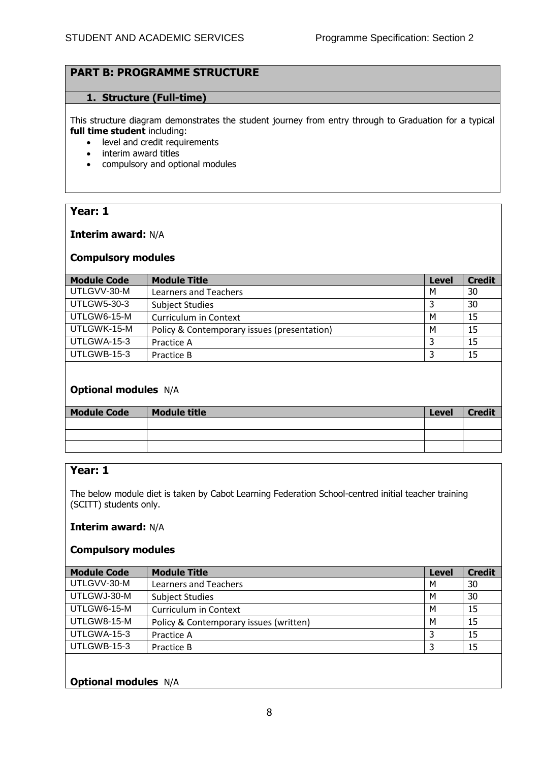### **PART B: PROGRAMME STRUCTURE**

#### **1. Structure (Full-time)**

This structure diagram demonstrates the student journey from entry through to Graduation for a typical **full time student** including:

- level and credit requirements
- interim award titles
- compulsory and optional modules

### **Year: 1**

#### **Interim award:** N/A

#### **Compulsory modules**

| <b>Module Code</b> | <b>Module Title</b>                         | <b>Level</b> | <b>Credit</b> |
|--------------------|---------------------------------------------|--------------|---------------|
| UTLGVV-30-M        | Learners and Teachers                       | м            | 30            |
| <b>UTLGW5-30-3</b> | <b>Subject Studies</b>                      |              | 30            |
| UTLGW6-15-M        | Curriculum in Context                       | м            | 15            |
| UTLGWK-15-M        | Policy & Contemporary issues (presentation) | М            | 15            |
| UTLGWA-15-3        | Practice A                                  |              | 15            |
| UTLGWB-15-3        | Practice B                                  |              | 15            |

### **Optional modules** N/A

| <b>Module Code</b> | <b>Module title</b> | <b>Level</b> | <b>Credit</b> |
|--------------------|---------------------|--------------|---------------|
|                    |                     |              |               |
|                    |                     |              |               |
|                    |                     |              |               |

## **Year: 1**

The below module diet is taken by Cabot Learning Federation School-centred initial teacher training (SCITT) students only.

### **Interim award:** N/A

#### **Compulsory modules**

| <b>Module Code</b> | <b>Module Title</b>                    | <b>Level</b> | <b>Credit</b> |
|--------------------|----------------------------------------|--------------|---------------|
| UTLGVV-30-M        | <b>Learners and Teachers</b>           | м            | 30            |
| UTLGWJ-30-M        | <b>Subject Studies</b>                 | М            | 30            |
| UTLGW6-15-M        | Curriculum in Context                  | М            | 15            |
| UTLGW8-15-M        | Policy & Contemporary issues (written) | M            | 15            |
| UTLGWA-15-3        | Practice A                             | 3            | 15            |
| UTLGWB-15-3        | Practice B                             | 3            | 15            |
|                    |                                        |              |               |

### **Optional modules** N/A